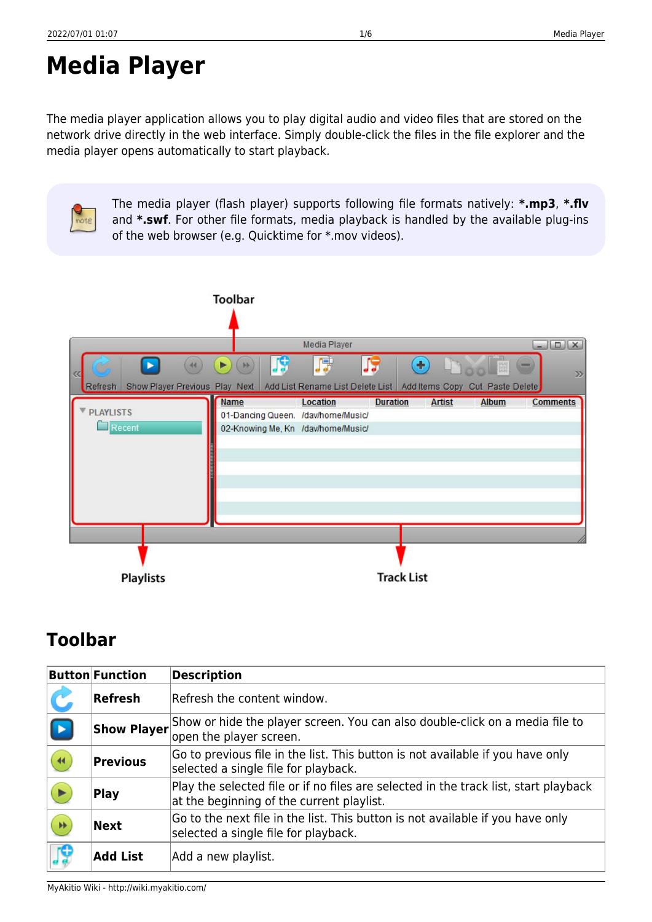note

# **Media Player**

The media player application allows you to play digital audio and video files that are stored on the network drive directly in the web interface. Simply double-click the files in the file explorer and the media player opens automatically to start playback.

> The media player (flash player) supports following file formats natively: **\*.mp3**, **\*.flv** and **\*.swf**. For other file formats, media playback is handled by the available plug-ins of the web browser (e.g. Quicktime for \*.mov videos).



# **Toolbar**

|                 | <b>Button Function</b> | <b>Description</b>                                                                                                                |
|-----------------|------------------------|-----------------------------------------------------------------------------------------------------------------------------------|
|                 | Refresh                | Refresh the content window.                                                                                                       |
|                 | <b>Show Player</b>     | Show or hide the player screen. You can also double-click on a media file to<br>open the player screen.                           |
| 44 <sub>1</sub> | <b>Previous</b>        | Go to previous file in the list. This button is not available if you have only<br>selected a single file for playback.            |
|                 | <b>Play</b>            | Play the selected file or if no files are selected in the track list, start playback<br>at the beginning of the current playlist. |
| ¥k,             | <b>Next</b>            | Go to the next file in the list. This button is not available if you have only<br>selected a single file for playback.            |
| re              | <b>Add List</b>        | Add a new playlist.                                                                                                               |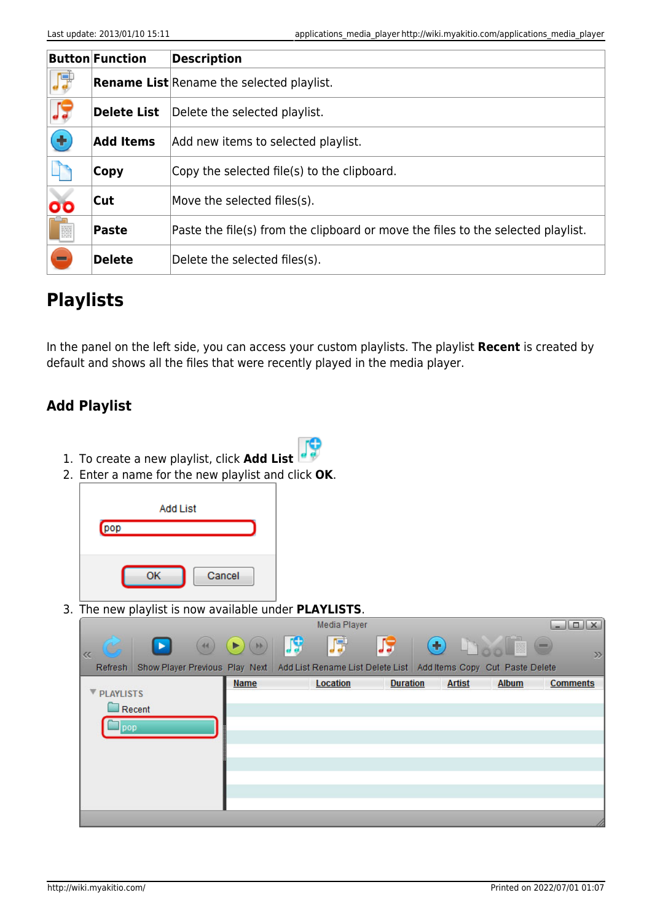|                                       | <b>Button Function</b> | <b>Description</b>                                                               |
|---------------------------------------|------------------------|----------------------------------------------------------------------------------|
| JŤ                                    |                        | Rename List Rename the selected playlist.                                        |
| JŞ.                                   | <b>Delete List</b>     | Delete the selected playlist.                                                    |
| $\left( \color{red}\textbf{+}\right)$ | <b>Add Items</b>       | Add new items to selected playlist.                                              |
|                                       | <b>Copy</b>            | Copy the selected file(s) to the clipboard.                                      |
| $\overline{\mathbf{o}}$               | <b>Cut</b>             | Move the selected files(s).                                                      |
| Ī                                     | Paste                  | Paste the file(s) from the clipboard or move the files to the selected playlist. |
| ш.                                    | <b>Delete</b>          | Delete the selected files(s).                                                    |

# **Playlists**

In the panel on the left side, you can access your custom playlists. The playlist **Recent** is created by default and shows all the files that were recently played in the media player.

### **Add Playlist**

- 1. To create a new playlist, click **Add List**
- 2. Enter a name for the new playlist and click **OK**.



3. The new playlist is now available under **PLAYLISTS**.

|                                     |      |                                                                                                     |      | Media Player    |                                                                                                     |                            |              | $\begin{array}{c c c c c} \hline \textbf{L} & \textbf{L} & \textbf{L} & \textbf{L} \\ \hline \textbf{L} & \textbf{L} & \textbf{L} & \textbf{L} & \textbf{L} \\ \hline \textbf{L} & \textbf{L} & \textbf{L} & \textbf{L} & \textbf{L} \\ \hline \textbf{L} & \textbf{L} & \textbf{L} & \textbf{L} & \textbf{L} & \textbf{L} \\ \hline \textbf{L} & \textbf{L} & \textbf{L} & \textbf{L} & \textbf{L} & \textbf{L} \\ \hline \textbf{L$ |
|-------------------------------------|------|-----------------------------------------------------------------------------------------------------|------|-----------------|-----------------------------------------------------------------------------------------------------|----------------------------|--------------|---------------------------------------------------------------------------------------------------------------------------------------------------------------------------------------------------------------------------------------------------------------------------------------------------------------------------------------------------------------------------------------------------------------------------------------|
| $\alpha$                            | (44) | $\begin{pmatrix} \bullet \\ \bullet \end{pmatrix} \begin{pmatrix} \bullet \\ \bullet \end{pmatrix}$ | IJ\$ | 身               | J9                                                                                                  | $\bigoplus$ by $\bigoplus$ |              | $\mathcal{V}$                                                                                                                                                                                                                                                                                                                                                                                                                         |
| Refresh                             |      |                                                                                                     |      |                 | Show Player Previous Play Next   Add List Rename List Delete List   Add Items Copy Cut Paste Delete |                            |              |                                                                                                                                                                                                                                                                                                                                                                                                                                       |
| <b>V PLAYLISTS</b><br>Recent<br>pop |      | <b>Name</b>                                                                                         |      | <b>Location</b> | <b>Duration</b>                                                                                     | <b>Artist</b>              | <b>Album</b> | <b>Comments</b>                                                                                                                                                                                                                                                                                                                                                                                                                       |
|                                     |      |                                                                                                     |      |                 |                                                                                                     |                            |              |                                                                                                                                                                                                                                                                                                                                                                                                                                       |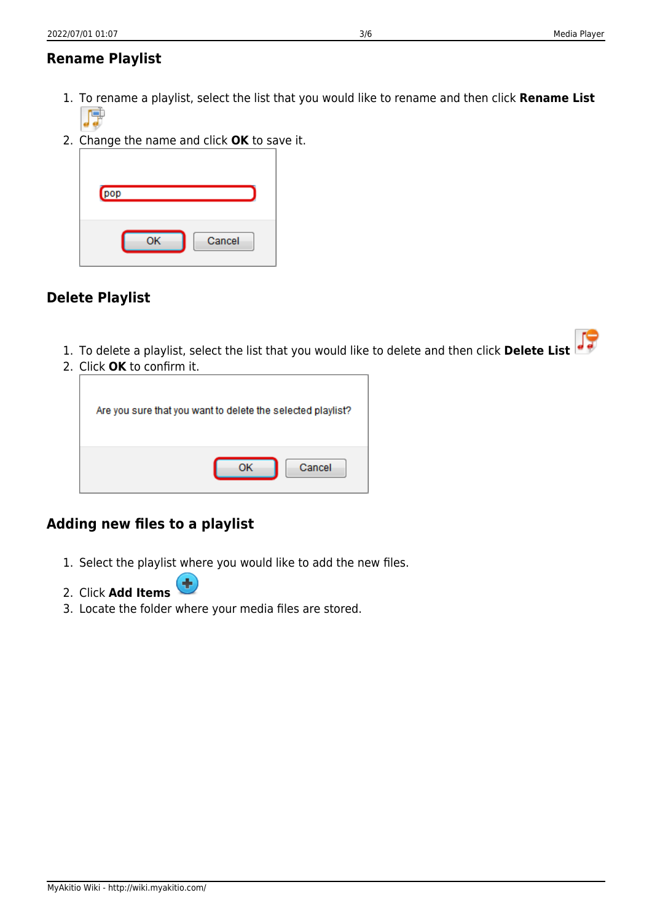### **Rename Playlist**

- 1. To rename a playlist, select the list that you would like to rename and then click **Rename List**
- 2. Change the name and click **OK** to save it.

| pop |    |        |  |
|-----|----|--------|--|
|     | OK | Cancel |  |

#### **Delete Playlist**

- 1. To delete a playlist, select the list that you would like to delete and then click **Delete List**
- 2. Click **OK** to confirm it.

| Are you sure that you want to delete the selected playlist? |
|-------------------------------------------------------------|
| Cancel                                                      |

### **Adding new files to a playlist**

- 1. Select the playlist where you would like to add the new files.
- 2. Click **Add Items**
- 3. Locate the folder where your media files are stored.

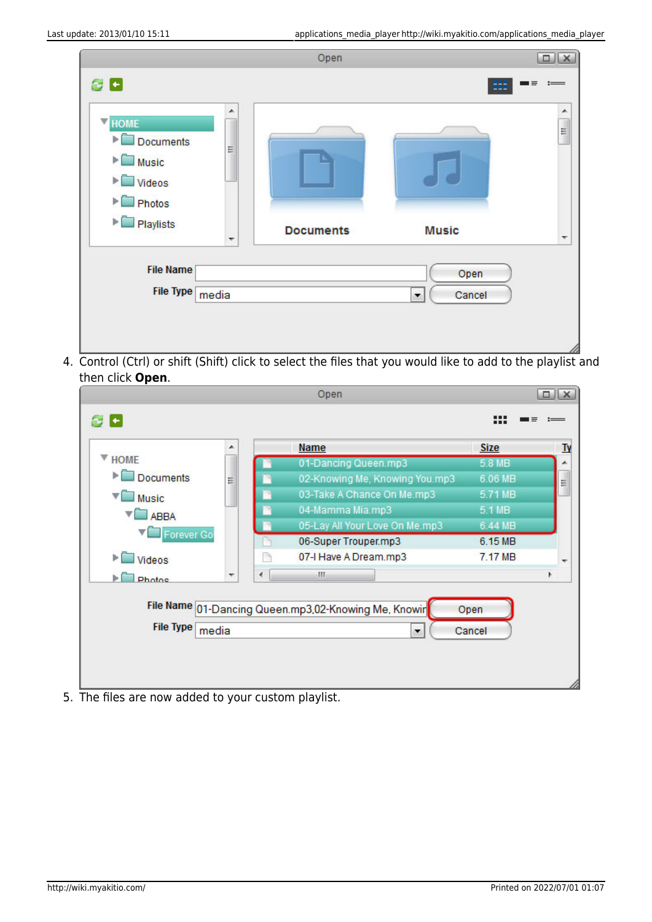|                                                                                                                                                                                                           | Open             | $\Box    \times$                                |
|-----------------------------------------------------------------------------------------------------------------------------------------------------------------------------------------------------------|------------------|-------------------------------------------------|
| 8 D                                                                                                                                                                                                       |                  | $=$                                             |
| ▲<br><b>HOME</b><br>Ψ<br>Documents<br>E<br>$\blacktriangleright$ $\Box$ Music<br>$\blacktriangleright$ $\square$ Videos<br>$\blacktriangleright$ Photos<br>$\blacktriangleright$ $\blacksquare$ Playlists | <b>Documents</b> | ÷<br>$\mathbb{H}$<br><b>Music</b>               |
| ۳<br><b>File Name</b><br><b>File Type</b><br>media                                                                                                                                                        |                  | $\overline{\phantom{a}}$<br>Open<br>Cancel<br>۰ |

4. Control (Ctrl) or shift (Shift) click to select the files that you would like to add to the playlist and then click **Open**.

|                           |   |   | Open                           |             |  |
|---------------------------|---|---|--------------------------------|-------------|--|
| ٠                         |   |   |                                |             |  |
|                           |   |   | <b>Name</b>                    | <b>Size</b> |  |
| <b>HOME</b>               |   |   | 01-Dancing Queen.mp3           | 5.8 MB      |  |
| b.<br><b>Documents</b>    | Ξ |   | 02-Knowing Me, Knowing You.mp3 | 6.06 MB     |  |
| $\Box$ Music              |   |   | 03-Take A Chance On Me.mp3     | 5.71 MB     |  |
| $\sqrt{\phantom{a}}$ ABBA |   |   | 04-Mamma Mia.mp3               | 5.1 MB      |  |
|                           |   |   | 05-Lay All Your Love On Me.mp3 | 6.44 MB     |  |
| Forever Go                |   |   | 06-Super Trouper.mp3           | 6.15 MB     |  |
| Videos                    |   |   | 07-I Have A Dream.mp3          | 7.17 MB     |  |
| <b>Photos</b>             |   | ∢ | Ш                              |             |  |

5. The files are now added to your custom playlist.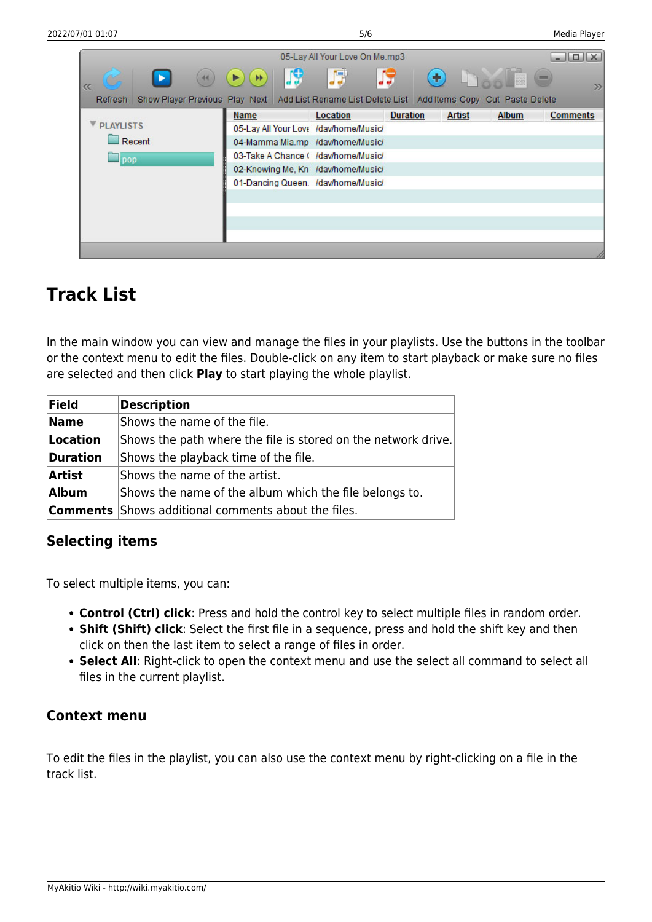|                   |                                                                                                     |                             |    | 05-Lay All Your Love On Me.mp3        |                 |               |              | D  X               |
|-------------------|-----------------------------------------------------------------------------------------------------|-----------------------------|----|---------------------------------------|-----------------|---------------|--------------|--------------------|
| $\alpha$          | 44                                                                                                  | $(\blacktriangleright)$ (#) | JS | 野                                     |                 | $+$           | è            | 0<br>$\mathcal{D}$ |
| Refresh           | Show Player Previous Play Next   Add List Rename List Delete List   Add Items Copy Cut Paste Delete |                             |    |                                       |                 |               |              |                    |
|                   |                                                                                                     | <b>Name</b>                 |    | Location                              | <b>Duration</b> | <b>Artist</b> | <b>Album</b> | <b>Comments</b>    |
| <b>VPLAYLISTS</b> |                                                                                                     |                             |    | 05-Lay All Your Love /dav/home/Music/ |                 |               |              |                    |
| $\Box$ Recent     |                                                                                                     |                             |    | 04-Mamma Mia.mp /dav/home/Music/      |                 |               |              |                    |
| $\Box$ pop        |                                                                                                     |                             |    | 03-Take A Chance ( /dav/home/Music/   |                 |               |              |                    |
|                   |                                                                                                     |                             |    | 02-Knowing Me, Kn /dav/home/Music/    |                 |               |              |                    |
|                   |                                                                                                     |                             |    | 01-Dancing Queen. /dav/home/Music/    |                 |               |              |                    |
|                   |                                                                                                     |                             |    |                                       |                 |               |              |                    |
|                   |                                                                                                     |                             |    |                                       |                 |               |              |                    |
|                   |                                                                                                     |                             |    |                                       |                 |               |              |                    |
|                   |                                                                                                     |                             |    |                                       |                 |               |              |                    |
|                   |                                                                                                     |                             |    |                                       |                 |               |              |                    |

## **Track List**

In the main window you can view and manage the files in your playlists. Use the buttons in the toolbar or the context menu to edit the files. Double-click on any item to start playback or make sure no files are selected and then click **Play** to start playing the whole playlist.

| <b>Field</b>    | <b>Description</b>                                            |
|-----------------|---------------------------------------------------------------|
| <b>Name</b>     | Shows the name of the file.                                   |
| <b>Location</b> | Shows the path where the file is stored on the network drive. |
| <b>Duration</b> | Shows the playback time of the file.                          |
| <b>Artist</b>   | Shows the name of the artist.                                 |
| Album           | Shows the name of the album which the file belongs to.        |
|                 | <b>Comments</b> Shows additional comments about the files.    |

#### **Selecting items**

To select multiple items, you can:

- **Control (Ctrl) click**: Press and hold the control key to select multiple files in random order.
- **Shift (Shift) click**: Select the first file in a sequence, press and hold the shift key and then click on then the last item to select a range of files in order.
- **Select All**: Right-click to open the context menu and use the select all command to select all files in the current playlist.

#### **Context menu**

To edit the files in the playlist, you can also use the context menu by right-clicking on a file in the track list.